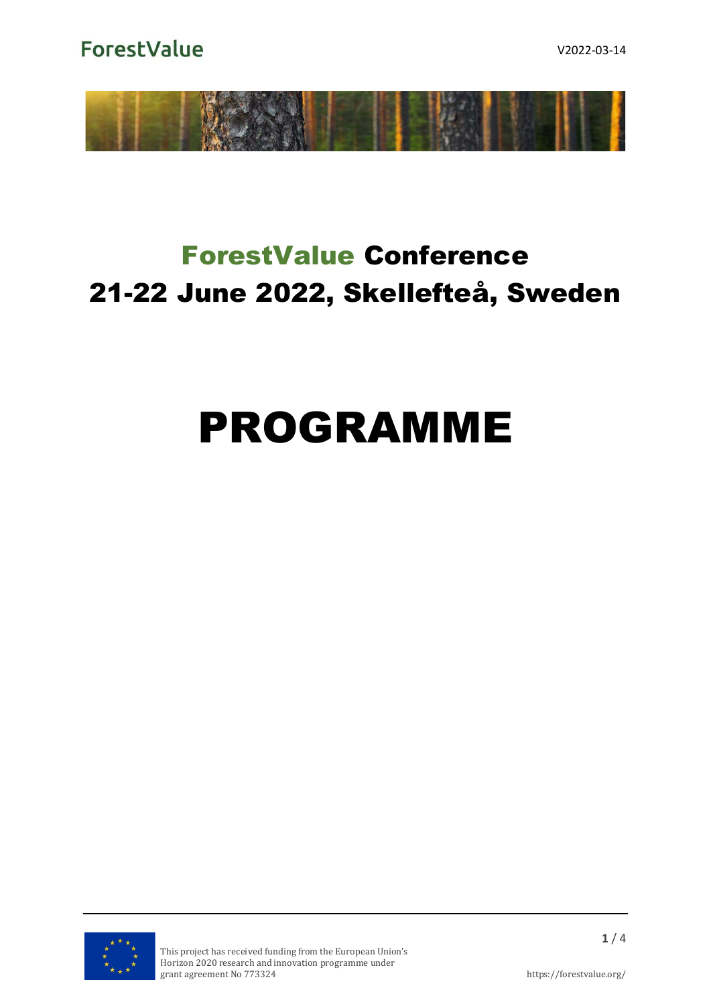**ForestValue** 



## ForestValue Conference 21-22 June 2022, Skellefteå, Sweden

# PROGRAMME

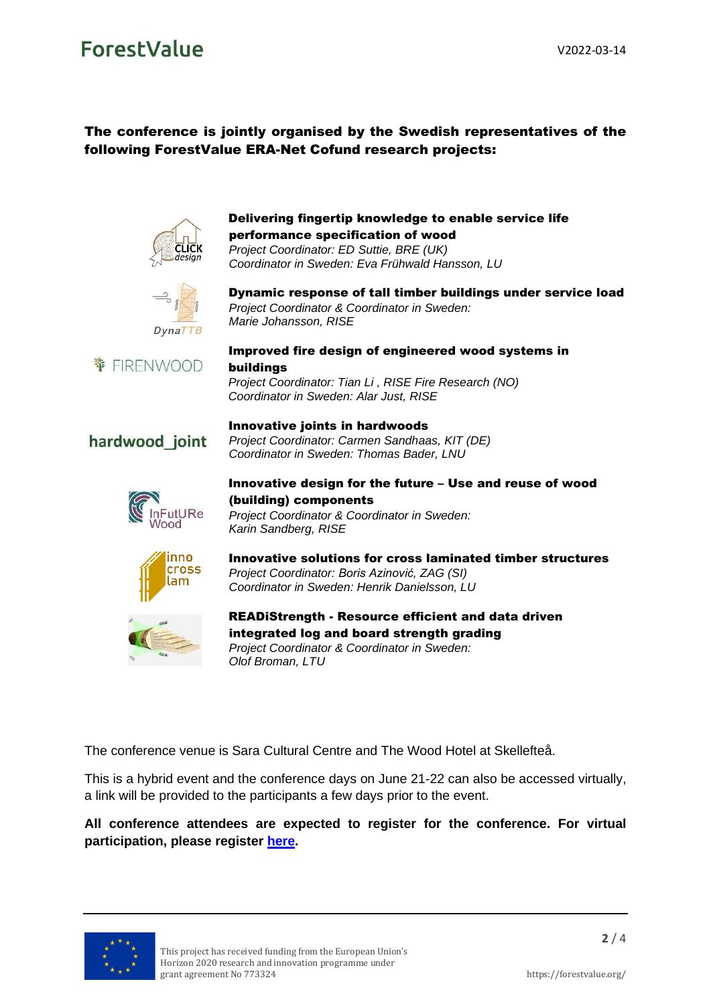### ForestValue

#### The conference is jointly organised by the Swedish representatives of the following ForestValue ERA-Net Cofund research projects:



#### Delivering fingertip knowledge to enable service life performance specification of wood

*Project Coordinator: ED Suttie, BRE (UK) Coordinator in Sweden: Eva Frühwald Hansson, LU*



Dynamic response of tall timber buildings under service load *Project Coordinator & Coordinator in Sweden: Marie Johansson, RISE*



#### Improved fire design of engineered wood systems in buildings

*Project Coordinator: Tian Li , RISE Fire Research (NO) Coordinator in Sweden: Alar Just, RISE*

*Project Coordinator: Carmen Sandhaas, KIT (DE) Coordinator in Sweden: Thomas Bader, LNU*

Innovative joints in hardwoods

*Karin Sandberg, RISE*

*Olof Broman, LTU*

#### hardwood joint



#### Innovative design for the future – Use and reuse of wood (building) components *Project Coordinator & Coordinator in Sweden:*



Innovative solutions for cross laminated timber structures *Project Coordinator: Boris Azinović, ZAG (SI)*



READiStrength - Resource efficient and data driven integrated log and board strength grading *Project Coordinator & Coordinator in Sweden:*

The conference venue is Sara Cultural Centre and The Wood Hotel at Skellefteå.

This is a hybrid event and the conference days on June 21-22 can also be accessed virtually, a link will be provided to the participants a few days prior to the event.

#### **All conference attendees are expected to register for the conference. For virtual participation, please register [here.](https://ec.europa.eu/eusurvey/runner/conference-registration-skelleftea-June-2022-virtual)**

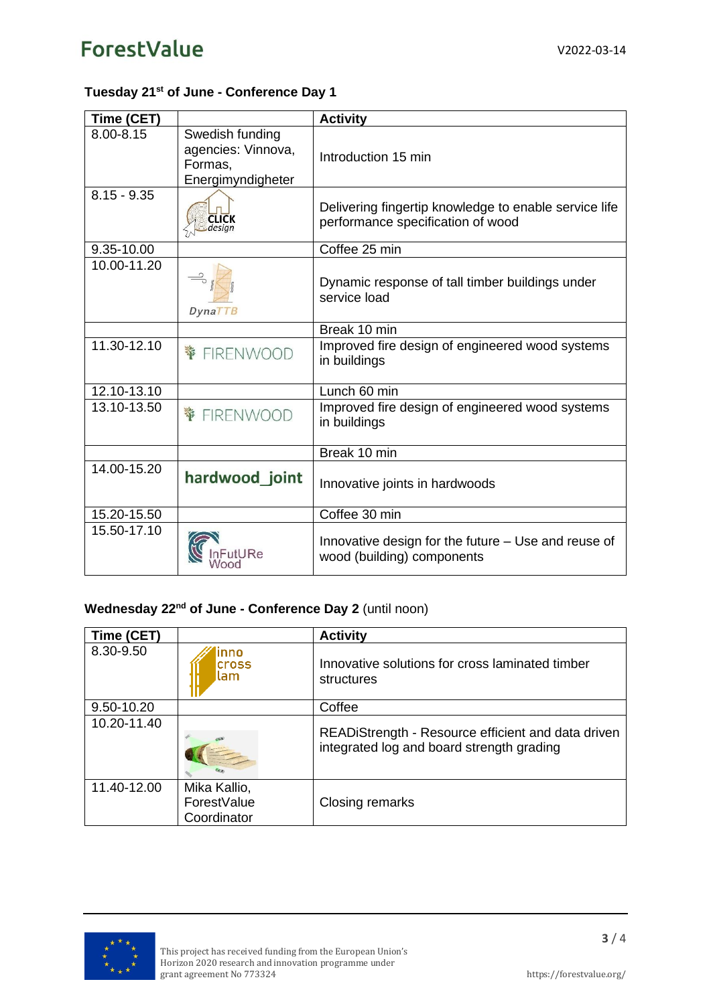#### **Tuesday 21 st of June - Conference Day 1**

| Time (CET)    |                                                                       | <b>Activity</b>                                                                            |
|---------------|-----------------------------------------------------------------------|--------------------------------------------------------------------------------------------|
| 8.00-8.15     | Swedish funding<br>agencies: Vinnova,<br>Formas,<br>Energimyndigheter | Introduction 15 min                                                                        |
| $8.15 - 9.35$ |                                                                       | Delivering fingertip knowledge to enable service life<br>performance specification of wood |
| 9.35-10.00    |                                                                       | Coffee 25 min                                                                              |
| 10.00-11.20   | $D$ yna $TTB$                                                         | Dynamic response of tall timber buildings under<br>service load                            |
|               |                                                                       | Break 10 min                                                                               |
| 11.30-12.10   |                                                                       | Improved fire design of engineered wood systems<br>in buildings                            |
| 12.10-13.10   |                                                                       | Lunch 60 min                                                                               |
| 13.10-13.50   | 等<br>FIRENWOOD                                                        | Improved fire design of engineered wood systems<br>in buildings                            |
|               |                                                                       | Break 10 min                                                                               |
| 14.00-15.20   | hardwood joint                                                        | Innovative joints in hardwoods                                                             |
| 15.20-15.50   |                                                                       | Coffee 30 min                                                                              |
| 15.50-17.10   |                                                                       | Innovative design for the future - Use and reuse of<br>wood (building) components          |

#### **Wednesday 22<sup>nd</sup> of June - Conference Day 2 (until noon)**

| Time (CET)  |                                            | <b>Activity</b>                                                                                 |
|-------------|--------------------------------------------|-------------------------------------------------------------------------------------------------|
| 8.30-9.50   | nno<br><b>cross</b><br>lam                 | Innovative solutions for cross laminated timber<br>structures                                   |
| 9.50-10.20  |                                            | Coffee                                                                                          |
| 10.20-11.40 |                                            | READiStrength - Resource efficient and data driven<br>integrated log and board strength grading |
| 11.40-12.00 | Mika Kallio,<br>ForestValue<br>Coordinator | Closing remarks                                                                                 |